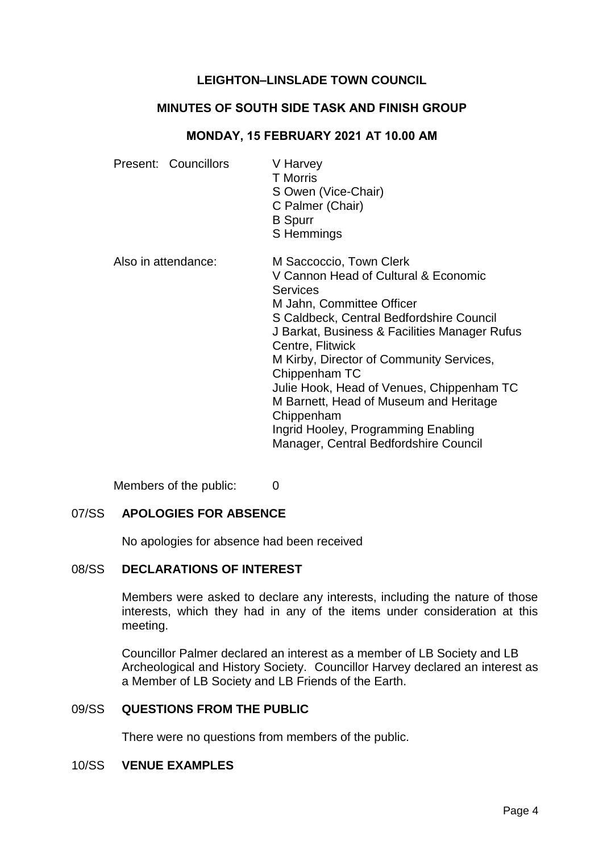# **LEIGHTON–LINSLADE TOWN COUNCIL**

# **MINUTES OF SOUTH SIDE TASK AND FINISH GROUP**

#### **MONDAY, 15 FEBRUARY 2021 AT 10.00 AM**

| Present: Councillors | V Harvey<br><b>T</b> Morris<br>S Owen (Vice-Chair)<br>C Palmer (Chair)<br><b>B</b> Spurr<br>S Hemmings                                                                                                                                                                                                                                                                                                                                                                             |
|----------------------|------------------------------------------------------------------------------------------------------------------------------------------------------------------------------------------------------------------------------------------------------------------------------------------------------------------------------------------------------------------------------------------------------------------------------------------------------------------------------------|
| Also in attendance:  | M Saccoccio, Town Clerk<br>V Cannon Head of Cultural & Economic<br><b>Services</b><br>M Jahn, Committee Officer<br>S Caldbeck, Central Bedfordshire Council<br>J Barkat, Business & Facilities Manager Rufus<br>Centre, Flitwick<br>M Kirby, Director of Community Services,<br>Chippenham TC<br>Julie Hook, Head of Venues, Chippenham TC<br>M Barnett, Head of Museum and Heritage<br>Chippenham<br>Ingrid Hooley, Programming Enabling<br>Manager, Central Bedfordshire Council |

Members of the public: 0

#### 07/SS **APOLOGIES FOR ABSENCE**

No apologies for absence had been received

### 08/SS **DECLARATIONS OF INTEREST**

Members were asked to declare any interests, including the nature of those interests, which they had in any of the items under consideration at this meeting.

Councillor Palmer declared an interest as a member of LB Society and LB Archeological and History Society. Councillor Harvey declared an interest as a Member of LB Society and LB Friends of the Earth.

#### 09/SS **QUESTIONS FROM THE PUBLIC**

There were no questions from members of the public.

#### 10/SS **VENUE EXAMPLES**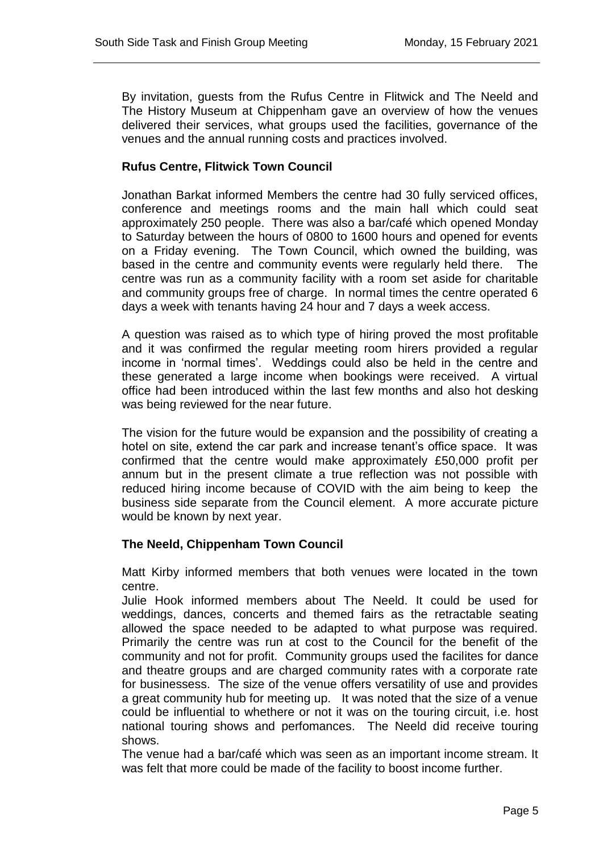By invitation, guests from the Rufus Centre in Flitwick and The Neeld and The History Museum at Chippenham gave an overview of how the venues delivered their services, what groups used the facilities, governance of the venues and the annual running costs and practices involved.

# **Rufus Centre, Flitwick Town Council**

Jonathan Barkat informed Members the centre had 30 fully serviced offices, conference and meetings rooms and the main hall which could seat approximately 250 people. There was also a bar/café which opened Monday to Saturday between the hours of 0800 to 1600 hours and opened for events on a Friday evening. The Town Council, which owned the building, was based in the centre and community events were regularly held there. The centre was run as a community facility with a room set aside for charitable and community groups free of charge. In normal times the centre operated 6 days a week with tenants having 24 hour and 7 days a week access.

A question was raised as to which type of hiring proved the most profitable and it was confirmed the regular meeting room hirers provided a regular income in 'normal times'. Weddings could also be held in the centre and these generated a large income when bookings were received. A virtual office had been introduced within the last few months and also hot desking was being reviewed for the near future.

The vision for the future would be expansion and the possibility of creating a hotel on site, extend the car park and increase tenant's office space. It was confirmed that the centre would make approximately £50,000 profit per annum but in the present climate a true reflection was not possible with reduced hiring income because of COVID with the aim being to keep the business side separate from the Council element. A more accurate picture would be known by next year.

## **The Neeld, Chippenham Town Council**

Matt Kirby informed members that both venues were located in the town centre.

Julie Hook informed members about The Neeld. It could be used for weddings, dances, concerts and themed fairs as the retractable seating allowed the space needed to be adapted to what purpose was required. Primarily the centre was run at cost to the Council for the benefit of the community and not for profit. Community groups used the facilites for dance and theatre groups and are charged community rates with a corporate rate for businessess. The size of the venue offers versatility of use and provides a great community hub for meeting up. It was noted that the size of a venue could be influential to whethere or not it was on the touring circuit, i.e. host national touring shows and perfomances. The Neeld did receive touring shows.

The venue had a bar/café which was seen as an important income stream. It was felt that more could be made of the facility to boost income further.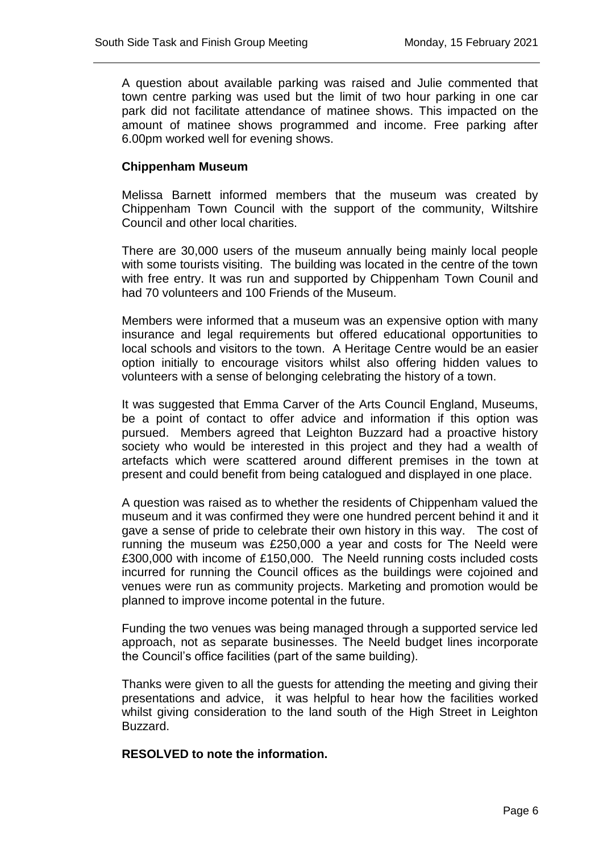A question about available parking was raised and Julie commented that town centre parking was used but the limit of two hour parking in one car park did not facilitate attendance of matinee shows. This impacted on the amount of matinee shows programmed and income. Free parking after 6.00pm worked well for evening shows.

### **Chippenham Museum**

Melissa Barnett informed members that the museum was created by Chippenham Town Council with the support of the community, Wiltshire Council and other local charities.

There are 30,000 users of the museum annually being mainly local people with some tourists visiting. The building was located in the centre of the town with free entry. It was run and supported by Chippenham Town Counil and had 70 volunteers and 100 Friends of the Museum.

Members were informed that a museum was an expensive option with many insurance and legal requirements but offered educational opportunities to local schools and visitors to the town. A Heritage Centre would be an easier option initially to encourage visitors whilst also offering hidden values to volunteers with a sense of belonging celebrating the history of a town.

It was suggested that Emma Carver of the Arts Council England, Museums, be a point of contact to offer advice and information if this option was pursued. Members agreed that Leighton Buzzard had a proactive history society who would be interested in this project and they had a wealth of artefacts which were scattered around different premises in the town at present and could benefit from being catalogued and displayed in one place.

A question was raised as to whether the residents of Chippenham valued the museum and it was confirmed they were one hundred percent behind it and it gave a sense of pride to celebrate their own history in this way. The cost of running the museum was £250,000 a year and costs for The Neeld were £300,000 with income of £150,000. The Neeld running costs included costs incurred for running the Council offices as the buildings were cojoined and venues were run as community projects. Marketing and promotion would be planned to improve income potental in the future.

Funding the two venues was being managed through a supported service led approach, not as separate businesses. The Neeld budget lines incorporate the Council's office facilities (part of the same building).

Thanks were given to all the guests for attending the meeting and giving their presentations and advice, it was helpful to hear how the facilities worked whilst giving consideration to the land south of the High Street in Leighton Buzzard.

#### **RESOLVED to note the information.**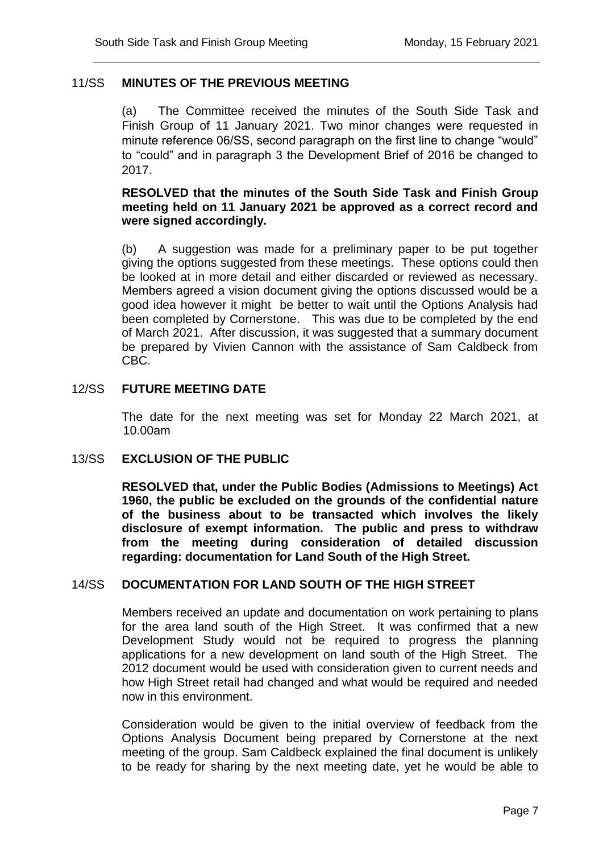# 11/SS **MINUTES OF THE PREVIOUS MEETING**

(a) The Committee received the minutes of the South Side Task and Finish Group of 11 January 2021. Two minor changes were requested in minute reference 06/SS, second paragraph on the first line to change "would" to "could" and in paragraph 3 the Development Brief of 2016 be changed to 2017.

## **RESOLVED that the minutes of the South Side Task and Finish Group meeting held on 11 January 2021 be approved as a correct record and were signed accordingly.**

(b) A suggestion was made for a preliminary paper to be put together giving the options suggested from these meetings. These options could then be looked at in more detail and either discarded or reviewed as necessary. Members agreed a vision document giving the options discussed would be a good idea however it might be better to wait until the Options Analysis had been completed by Cornerstone. This was due to be completed by the end of March 2021. After discussion, it was suggested that a summary document be prepared by Vivien Cannon with the assistance of Sam Caldbeck from CBC.

## 12/SS **FUTURE MEETING DATE**

The date for the next meeting was set for Monday 22 March 2021, at 10.00am

#### 13/SS **EXCLUSION OF THE PUBLIC**

**RESOLVED that, under the Public Bodies (Admissions to Meetings) Act 1960, the public be excluded on the grounds of the confidential nature of the business about to be transacted which involves the likely disclosure of exempt information. The public and press to withdraw from the meeting during consideration of detailed discussion regarding: documentation for Land South of the High Street.**

## 14/SS **DOCUMENTATION FOR LAND SOUTH OF THE HIGH STREET**

Members received an update and documentation on work pertaining to plans for the area land south of the High Street. It was confirmed that a new Development Study would not be required to progress the planning applications for a new development on land south of the High Street. The 2012 document would be used with consideration given to current needs and how High Street retail had changed and what would be required and needed now in this environment.

Consideration would be given to the initial overview of feedback from the Options Analysis Document being prepared by Cornerstone at the next meeting of the group. Sam Caldbeck explained the final document is unlikely to be ready for sharing by the next meeting date, yet he would be able to